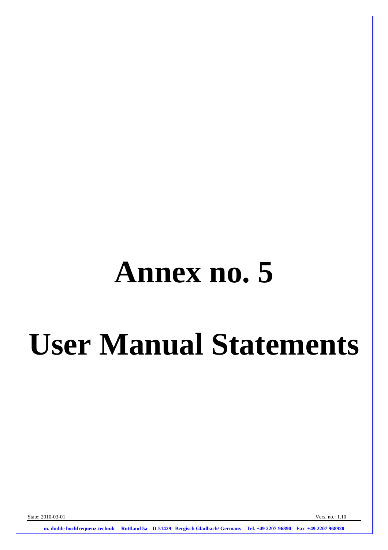# **Annex no. 5**

# **User Manual Statements**

State: 2010-03-01 Vers. no.: 1.10

**m. dudde hochfrequenz-technik Rottland 5a D-51429 Bergisch Gladbach/ Germany Tel. +49 2207-96890 Fax +49 2207 968920**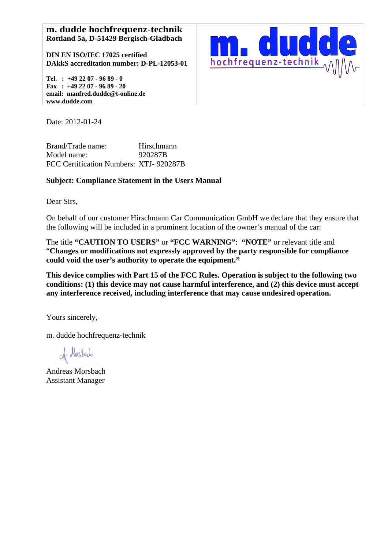## **m. dudde hochfrequenz-technik Rottland 5a, D-51429 Bergisch-Gladbach**

**DIN EN ISO/IEC 17025 certified DAkkS accreditation number: D-PL-12053-01** 

**Tel. : +49 22 07 - 96 89 - 0 Fax : +49 22 07 - 96 89 - 20 email: manfred.dudde@t-online.de www.dudde.com** 



Date: 2012-01-24

Brand/Trade name: Hirschmann Model name: 920287B FCC Certification Numbers: XTJ- 920287B

# **Subject: Compliance Statement in the Users Manual**

Dear Sirs,

On behalf of our customer Hirschmann Car Communication GmbH we declare that they ensure that the following will be included in a prominent location of the owner's manual of the car:

The title **"CAUTION TO USERS"** or **"FCC WARNING"**: **"NOTE"** or relevant title and "**Changes or modifications not expressly approved by the party responsible for compliance could void the user's authority to operate the equipment."** 

**This device complies with Part 15 of the FCC Rules. Operation is subject to the following two conditions: (1) this device may not cause harmful interference, and (2) this device must accept any interference received, including interference that may cause undesired operation.** 

Yours sincerely,

m. dudde hochfrequenz-technik

A. Morsbach

Andreas Morsbach Assistant Manager